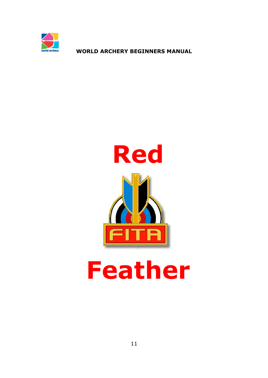



# **Feather**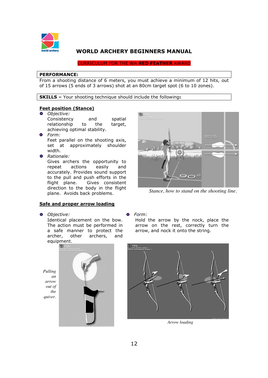

CURRICULUM FOR THE WA **RED FEATHER** AWARD

#### **PERFORMANCE:**

From a shooting distance of 6 meters, you must achieve a minimum of 12 hits, out of 15 arrows (5 ends of 3 arrows) shot at an 80cm target spot (6 to 10 zones).

**SKILLS –** Your shooting technique should include the following**:** 

#### **Feet position (Stance)**

- *Objective:*  Consistency and spatial relationship to the target, achieving optimal stability.
- *Form:*  Feet parallel on the shooting axis, set at approximately shoulder width.
- *Rationale:*

Gives archers the opportunity to repeat actions easily and accurately. Provides sound support to the pull and push efforts in the flight plane. Gives consistent direction to the body in the flight plane. Avoids back problems.

## **Safe and proper arrow loading**

*Objective:* 

Identical placement on the bow. The action must be performed in a safe manner to protect the archer, other archers, and equipment.





*Stance, how to stand on the shooting line.* 

#### *Form:*

Hold the arrow by the nock, place the arrow on the rest, correctly turn the arrow, and nock it onto the string.



*Arrow loading*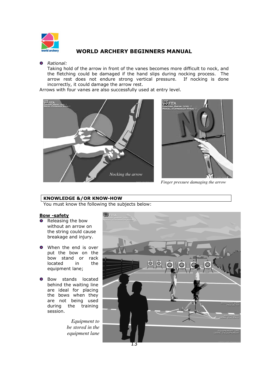

#### *Rational:*

Taking hold of the arrow in front of the vanes becomes more difficult to nock, and the fletching could be damaged if the hand slips during nocking process. The arrow rest does not endure strong vertical pressure. If nocking is done incorrectly, it could damage the arrow rest.

Arrows with four vanes are also successfully used at entry level.





*Finger pressure damaging the arrow* 

## **KNOWLEDGE &/OR KNOW-HOW**

You must know the following the subjects below:

## **Bow -safety**

- **•** Releasing the bow without an arrow on the string could cause breakage and injury.
- **O** When the end is over put the bow on the bow stand or rack located in the equipment lane;
- **O** Bow stands located behind the waiting line are ideal for placing the bows when they are not being used during the training session.

*Equipment to be stored in the equipment lane* 

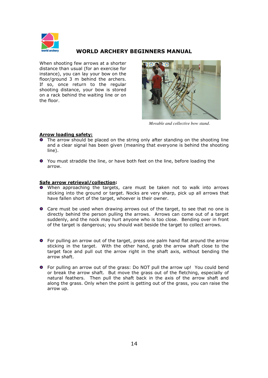

When shooting few arrows at a shorter distance than usual (for an exercise for instance), you can lay your bow on the floor/ground 3 m behind the archers. If so, once return to the regular shooting distance, your bow is stored on a rack behind the waiting line or on the floor.



*Movable and collective bow stand.*

## **Arrow loading safety:**

- **•** The arrow should be placed on the string only after standing on the shooting line and a clear signal has been given (meaning that everyone is behind the shooting line).
- You must straddle the line, or have both feet on the line, before loading the arrow.

## **Safe arrow retrieval/collection:**

- When approaching the targets, care must be taken not to walk into arrows sticking into the ground or target. Nocks are very sharp, pick up all arrows that have fallen short of the target, whoever is their owner.
- Care must be used when drawing arrows out of the target, to see that no one is directly behind the person pulling the arrows. Arrows can come out of a target suddenly, and the nock may hurt anyone who is too close. Bending over in front of the target is dangerous; you should wait beside the target to collect arrows.
- For pulling an arrow out of the target, press one palm hand flat around the arrow sticking in the target. With the other hand, grab the arrow shaft close to the target face and pull out the arrow right in the shaft axis, without bending the arrow shaft.
- For pulling an arrow out of the grass: Do NOT pull the arrow up! You could bend or break the arrow shaft. But move the grass out of the fletching, especially of natural feathers. Then pull the shaft back in the axis of the arrow shaft and along the grass. Only when the point is getting out of the grass, you can raise the arrow up.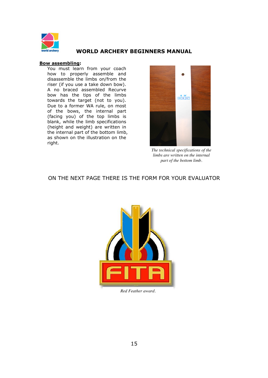

#### **Bow assembling:**

You must learn from your coach how to properly assemble and disassemble the limbs on/from the riser (if you use a take down bow). A no braced assembled Recurve bow has the tips of the limbs towards the target (not to you). Due to a former WA rule, on most of the bows, the internal part (facing you) of the top limbs is blank, while the limb specifications (height and weight) are written in the internal part of the bottom limb, as shown on the illustration on the right.



*The technical specifications of the limbs are written on the internal part of the bottom limb.* 

ON THE NEXT PAGE THERE IS THE FORM FOR YOUR EVALUATOR



*Red Feather award.*